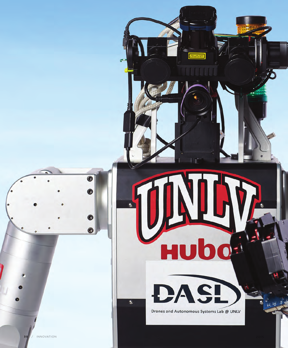H

i.

G.

 $\bullet$ 

 $\bullet$ 

 $\bullet$ 

 $\bullet$ 

 $\bullet$ 

Drones and Autonomous Systems Lab @ UNLV

 $\bullet$ 

 $\epsilon$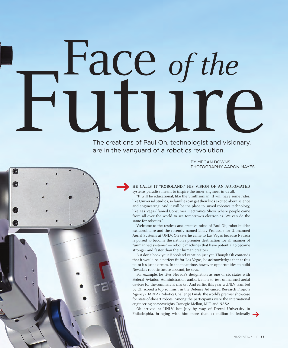## Face of the<br>11t11re

The creations of Paul Oh, technologist and visionary, are in the vanguard of a robotics revolution.

> BY MEGAN DOWNS PHOTOGRAPHY AARON MAYES

**HE CALLS IT "ROBOLAND," HIS VISION OF AN AUTOMATED** systems paradise meant to inspire the inner engineer in us all.

"It will be educational, like the Smithsonian. It will have some rides, like Universal Studios, so families can get their kids excited about science and engineering. And it will be the place to unveil robotics technology, like Las Vegas' famed Consumer Electronics Show, where people come from all over the world to see tomorrow's electronics. We can do the same for robotics."

Welcome to the restless and creative mind of Paul Oh, robot-builder extraordinaire and the recently named Lincy Professor for Unmanned Aerial Systems at UNLV. Oh says he came to Las Vegas because Nevada is poised to become the nation's premier destination for all manner of "unmanned systems" — robotic machines that have potential to become stronger and faster than their human creators.

But don't book your Roboland vacation just yet. Though Oh contends that it would be a perfect fit for Las Vegas, he acknowledges that at this point it's just a dream. In the meantime, however, opportunities to build Nevada's robotic future abound, he says.

For example, he cites Nevada's designation as one of six states with Federal Aviation Administration authorization to test unmanned aerial devices for the commercial market. And earlier this year, a UNLV team led by Oh scored a top-10 finish in the Defense Advanced Research Projects Agency (DARPA) Robotics Challenge Finals, the world's premier showcase for state-of-the-art robots. Among the participants were the international engineering heavyweights Carnegie Mellon, MIT, and NASA.

Oh arrived at UNLV last July by way of Drexel University in Philadelphia, bringing with him more than  $s_1$  million in federally  $\rightarrow$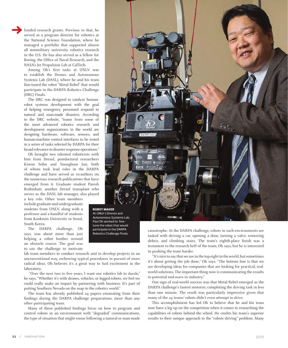funded research grants. Previous to that, he served as a program director for robotics at the National Science Foundation, where he managed a portfolio that supported almost all nonmilitary university robotics research in the U.S. He has also served as a fellow for Boeing, the Office of Naval Research, and the NASA's Jet Propulsion Lab at CalTech.

Among Oh's first tasks at UNLV was to establish the Drones and Autonomous Systems Lab (DASL), where he and his team fine-tuned the robot "Metal Rebel" that would participate in the DARPA Robotics Challenge (DRC) Finals.

The DRC was designed to catalyze humanrobot systems development with the goal of helping emergency personnel respond to natural and man-made disasters. According to the DRC website, "teams from some of the most advanced robotics research and development organizations in the world are designing hardware, software, sensors, and human-machine control interfaces to be tested in a series of tasks selected by DARPA for their broad relevance to disaster response operations."

Oh brought two talented roboticists with him from Drexel, postdoctoral researchers Kiwon Sohn and Youngbum Jun, both of whom took lead roles in the DARPA challenge and have served as co-authors on the numerous research publications that have emerged from it. Graduate student Paresh Brahmbatt, another Drexel transplant who serves as the DASL lab manager, also played

a key role. Other team members include graduate and undergraduate students from UNLV, along with a professor and a handful of students from Kookmin University in Seoul, South Korea.

The DARPA challenge, Oh says, was about more than just helping a robot lumber around an obstacle course. The goal was to use the challenge to motivate

lab team members to conduct research and to develop projects in an unconventional way, eschewing typical procedures in pursuit of more radical ideas. Oh believes it's a great way to fuel excitement in the laboratory.

Paul Oh worked to finetune the robot that would participate in the DARPA Robotics Challenge Finals.

"Over the next two to five years, I want our robotics lab to dazzle," he says. "Whether it's with drones, vehicles, or legged-robots, we feel we could really make an impact by partnering with business. It's part of putting Southern Nevada on the map in the robotics world."

The team has already published 24 papers emanating from their findings during the DARPA challenge preparations, more than any other participating team.

Many of these published findings focus on how to program and control robots in an environment with "degraded" communications, the type of situation that might ensue following a natural or man-made



catastrophe. At the DARPA challenge, robots in such environments are tasked with driving a car, opening a door, turning a valve, removing debris, and climbing stairs. The team's eighth-place finish was a testament to the research heft of the team, Oh says, but he is interested in pushing the team harder.

 "It's nice to say that we are in the top eight in the world, but sometimes it's about getting the job done," Oh says. "The bottom line is that we are developing ideas for companies that are looking for practical, realworld solutions. The important thing now is communicating the results to potential end-users in industry."

One sign of real-world success was that Metal Rebel emerged as the DARPA challenge's fastest motorist, completing the driving task in less than one minute. The result was particularly impressive given that many of the 24 teams' robots didn't even attempt to drive.

This accomplishment has led Oh to believe that he and his team now have a leg up on the competition when it comes to researching the capabilities of robots behind the wheel. He credits his team's superior results to their unique approach to the "robots driving" problem. Many